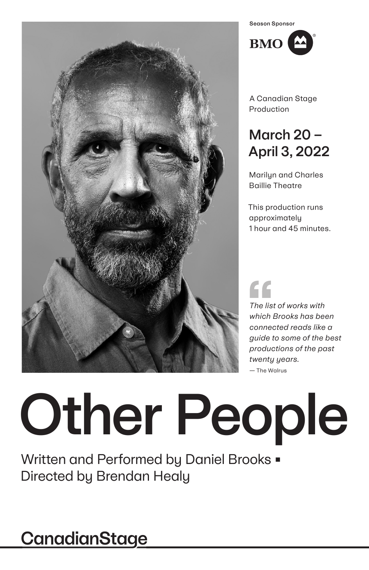

Season SponsorBMO<sup><sup>2</sup></sup>

A Canadian Stage Production

## March 20 – April 3, 2022

Marilyn and Charles Baillie Theatre

This production runs approximately 1 hour and 45 minutes.

# C C

*The list of works with which Brooks has been connected reads like a guide to some of the best productions of the past twenty years.*

— The Walrus

# Other People

Written and Performed by Daniel Brooks  $\blacksquare$ Directed by Brendan Healy

## **CanadianStage**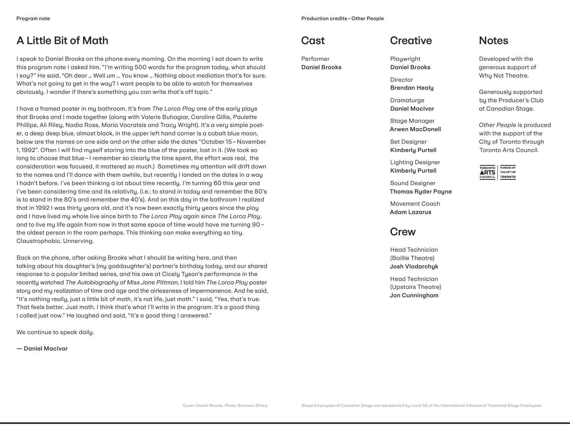## A Little Bit of Math

I speak to Daniel Brooks on the phone every morning. On the morning I sat down to write this program note I asked him, "I'm writing 500 words for the program today, what should I say?" He said, "Oh dear … Well um … You know … Nothing about mediation that's for sure. What's not going to get in the way? I want people to be able to watch for themselves obviously. I wonder if there's something you can write that's off topic."

I have a framed poster in my bathroom. It's from *The Lorca Play* one of the early plays that Brooks and I made together (along with Valerie Buhagiar, Caroline Gillis, Paulette Phillips, Ali Riley, Nadia Ross, Maria Vacratsis and Tracy Wright). It's a very simple poster, a deep deep blue, almost black, in the upper left hand corner is a cobalt blue moon, below are the names on one side and on the other side the dates "October 15–November 1, 1992". Often I will find myself staring into the blue of the poster, lost in it. (We took so long to choose that blue–I remember so clearly the time spent, the effort was real, the consideration was focused, it mattered so much.) Sometimes my attention will drift down to the names and I'll dance with them awhile, but recently I landed on the dates in a way I hadn't before. I've been thinking a lot about time recently. I'm turning 60 this year and I've been considering time and its relativity, (i.e.: to stand in today and remember the 80's is to stand in the 80's and remember the 40's). And on this day in the bathroom I realized that in 1992 I was thirty years old, and it's now been exactly thirty years since the play and I have lived my whole live since birth to *The Lorca Play* again since *The Lorca Play*, and to live my life again from now in that same space of time would have me turning 90– the oldest person in the room perhaps. This thinking can make everything so tiny. Claustrophobic. Unnerving.

Back on the phone, after asking Brooks what I should be writing here, and then talking about his daughter's (my goddaughter's) partner's birthday today, and our shared response to a popular limited series, and his awe at Cicely Tyson's performance in the recently watched *The Autobiography of Miss Jane Pittman*, I told him *The Lorca Play* poster story and my realization of time and age and the airlessness of impermanence. And he said, "It's nothing really, just a little bit of math, it's not life, just math." I said, "Yes, that's true. That feels better. Just math. I think that's what I'll write in the program. It's a good thing I called just now." He laughed and said, "It's a good thing I answered."

We continue to speak daily.

— Daniel MacIvor

## **Cast**

Performer Daniel Brooks



Playwright Daniel Brooks

Director Brendan Healy

Dramaturge Daniel MacIvor

Stage Manager Arwen MacDonell

Set Designer Kimberly Purtell

Lighting Designer Kimberly Purtell

Sound Designer Thomas Ryder Payne

Movement Coach Adam Lazarus

## Crew

Head Technician (Baillie Theatre) Josh Vlodarchyk

Head Technician (Upstairs Theatre) Jon Cunningham

## **Notes**

Developed with the generous support of Why Not Theatre.

Generously supported by the Producer's Club at Canadian Stage.

*Other People* is produced with the support of the City of Toronto through Toronto Arts Council.

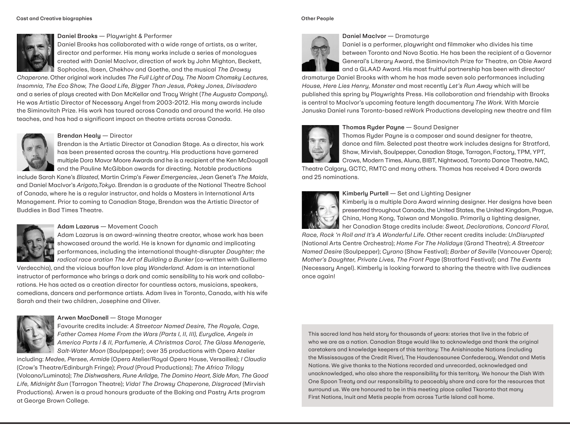#### Cast and Creative biographies Other People

## Daniel Brooks — Playwright & Performer Daniel Brooks has collaborated with a wide range of artists, as a writer, director and performer. His many works include a series of monologues created with Daniel MacIvor, direction of work by John Mighton, Beckett, Sophocles, Ibsen, Chekhov and Goethe, and the musical *The Drowsy*

*Chaperone*. Other original work includes *The Full Light of Day, The Noam Chomsky Lectures, Insomnia, The Eco Show, The Good Life, Bigger Than Jesus, Pokey Jones, Divisadero* and a series of plays created with Don McKellar and Tracy Wright (*The Augusta Company*). He was Artistic Director of Necessary Angel from 2003-2012. His many awards include the Siminovitch Prize. His work has toured across Canada and around the world. He also teaches, and has had a significant impact on theatre artists across Canada.



Brendan Healy — Director

Brendan is the Artistic Director at Canadian Stage. As a director, his work has been presented across the country. His productions have garnered multiple Dora Mavor Moore Awards and he is a recipient of the Ken McDougall and the Pauline McGibbon awards for directing. Notable productions

include Sarah Kane's *Blasted*, Martin Crimp's *Fewer Emergencies*, Jean Genet's *The Maids*, and Daniel MacIvor's *Arigato,Tokyo*. Brendan is a graduate of the National Theatre School of Canada, where he is a regular instructor, and holds a Masters in International Arts Management. Prior to coming to Canadian Stage, Brendan was the Artistic Director of Buddies in Bad Times Theatre.



## Adam Lazarus — Movement Coach

Adam Lazarus is an award-winning theatre creator, whose work has been showcased around the world. He is known for dynamic and implicating performances, including the international thought-disrupter *Daughter; the radical race oration The Art of Building a Bunker* (co-written with Guillermo

Verdecchia), and the vicious bouffon love play *Wonderland*. Adam is an international instructor of performance who brings a dark and comic sensibility to his work and collaborations. He has acted as a creation director for countless actors, musicians, speakers, comedians, dancers and performance artists. Adam lives in Toronto, Canada, with his wife Sarah and their two children, Josephine and Oliver.



## Arwen MacDonell — Stage Manager

Favourite credits include: *A Streetcar Named Desire, The Royale, Cage, Father Comes Home From the Wars (Parts I, II, III), Eurydice, Angels in America Parts I & II, Parfumerie, A Christmas Carol, The Glass Menagerie, Salt-Water Moon* (Soulpepper); over 35 productions with Opera Atelier

including: *Medee, Persee, Armide* (Opera Atelier/Royal Opera House, Versailles); *I Claudia*  (Crow's Theatre/Edinburgh Fringe); *Proud* (Proud Productions); *The Africa Trilogy*  (Volcano/Luminato); *The Dishwashers, Rune Arlidge, The Domino Heart, Side Man, The Good Life, Midnight Sun* (Tarragon Theatre); *Vida! The Drowsy Chaperone, Disgraced* (Mirvish Productions). Arwen is a proud honours graduate of the Baking and Pastry Arts program at George Brown College.



Daniel MacIvor — Dramaturge Daniel is a performer, playwright and filmmaker who divides his time between Toronto and Nova Scotia. He has been the recipient of a Governor

General's Literary Award, the Siminovitch Prize for Theatre, an Obie Award and a GLAAD Award. His most fruitful partnership has been with director/

dramaturge Daniel Brooks with whom he has made seven solo performances including *House, Here Lies Henry, Monster* and most recently *Let's Run Away* which will be published this spring by Playwrights Press. His collaboration and friendship with Brooks is central to MacIvor's upcoming feature length documentary *The Work*. With Marcie Januska Daniel runs Toronto-based reWork Productions developing new theatre and film



## Thomas Ryder Payne — Sound Designer

Thomas Ryder Payne is a composer and sound designer for theatre, dance and film. Selected past theatre work includes designs for Stratford, Shaw, Mirvish, Soulpepper, Canadian Stage, Tarragon, Factory, TPM, YPT, Crows, Modern Times, Aluna, BIBT, Nightwood, Toronto Dance Theatre, NAC,

Theatre Calgary, GCTC, RMTC and many others. Thomas has received 4 Dora awards and 25 nominations.



#### Kimberly Purtell — Set and Lighting Designer

Kimberly is a multiple Dora Award winning designer. Her designs have been presented throughout Canada, the United States, the United Kingdom, Prague, China, Hong Kong, Taiwan and Mongolia. Primarily a lighting designer, her Canadian Stage credits include: *Sweat, Declarations, Concord Floral,* 

*Race, Rock 'n Roll and It's A Wonderful Life*. Other recent credits include: *UnDisrupted* (National Arts Centre Orchestra); *Home For The Holidays* (Grand Theatre); *A Streetcar Named Desire* (Soulpepper); *Cyrano* (Shaw Festival); *Barber of Seville* (Vancouver Opera); *Mother's Daughter, Private Lives, The Front Page* (Stratford Festival); and *The Events*  (Necessary Angel). Kimberly is looking forward to sharing the theatre with live audiences once again!

This sacred land has held story for thousands of years: stories that live in the fabric of who we are as a nation. Canadian Stage would like to acknowledge and thank the original caretakers and knowledge keepers of this territory: The Anishinaabe Nations (including the Mississaugas of the Credit River), The Haudenosaunee Confederacy, Wendat and Metis Nations. We give thanks to the Nations recorded and unrecorded, acknowledged and unacknowledged, who also share the responsibility for this territory. We honour the Dish With One Spoon Treaty and our responsibility to peaceably share and care for the resources that surround us. We are honoured to be in this meeting place called Tkaronto that many First Nations, Inuit and Metis people from across Turtle Island call home.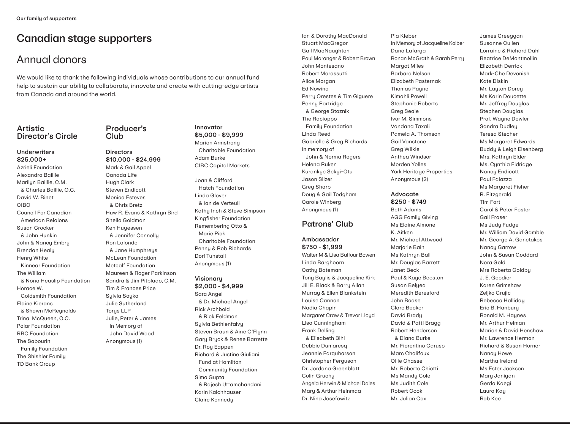## Canadian stage supporters

## Annual donors

We would like to thank the following individuals whose contributions to our annual fund help to sustain our ability to collaborate, innovate and create with cutting-edge artists from Canada and around the world.

## **Artistic** Director's Circle

#### Underwriters \$25,000+

Azrieli Foundation Alexandra Baillie Marilyn Baillie, C.M. & Charles Baillie, O.C. David W. Binet CIBC Council For Canadian American Relaions Susan Crocker & John Hunkin John & Nancy Embry Brendan Healy Henry White Kinnear Foundation The William & Nona Heaslip Foundation Horace W. Goldsmith Foundation Elaine Kierans & Shawn McReynolds Trina McQueen, O.C. Polar Foundation RBC Foundation The Sabourin Family Foundation The Shishler Family TD Bank Group

Producer's Club

## **Directors** \$10,000 - \$24,999 Mark & Gail Appel Canada Life Hugh Clark Steven Endicott Monica Esteves & Chris Bretz Huw R. Evans & Kathryn Bird Sheila Goldman Ken Hugessen & Jennifer Connolly Ron Lalonde & Jane Humphreys McLean Foundation Metcalf Foundation Maureen & Roger Parkinson Sandra & Jim Pitblado, C.M. Tim & Frances Price Sylvia Soyka Julie Sutherland Torys LLP Julie, Peter & James in Memory of John David Wood Anonymous (1)

## Innovator \$5,000 - \$9,999

Marion Armstrong Charitable Foundation Adam Burke CIBC Capital Markets

Joan & Clifford Hatch Foundation Linda Glover & Ian de Verteuil Kathy Inch & Steve Simpson Kingfisher Foundation Remembering Otto & Marie Pick Charitable Foundation Penny & Rob Richards Dori Tunstall Anonymous (1)

**Visionary** \$2,000 - \$4,999 Sara Angel & Dr. Michael Angel Rick Archbold & Rick Feldman Sylvia Bethlenfalvy Steven Braun & Aine O'Flynn Gary Bryck & Renee Barrette Dr. Roy Eappen Richard & Justine Giuliani Fund at Hamilton Community Foundation Sima Gupta & Rajesh Uttamchandani Karin Kalchhauser Claire Kennedy

Ian & Dorothy MacDonald Stuart MacGregor Gail MacNaughton Paul Maranger & Robert Brown John Montesano Robert Morassutti Alice Morgan Ed Nowina Perry Orestes & Tim Giguere Penny Partridge & George Staznik The Racioppo Family Foundation Linda Reed Gabrielle & Greg Richards In memory of John & Norma Rogers Helena Ruken Kurankye Sekyi-Otu Jason Silzer Greg Sharp Doug & Gail Todgham Carole Winberg Anonymous (1)

## Patrons' Club

## Ambassador \$750 - \$1,999

Walter M & Lisa Balfour Bowen Linda Barghoorn Cathy Bateman Tony Baylis & Jacqueline Kirk Jill E. Black & Barry Allan Murray & Ellen Blankstein Louise Cannon Nadia Chapin Margaret Craw & Trevor Lloyd Lisa Cunningham Frank Delling & Elisabeth Bihl Debbie Dumaresq Jeannie Farquharson Christopher Ferguson Dr. Jordana Greenblatt Colin Gruchy Angela Herwin & Michael Dales Mary & Arthur Heinmaa Dr. Nina Josefowitz

Pia Kleber In Memory of Jacqueline Kolber Dana Lafarga Ronan McGrath & Sarah Perry Margot Miles Barbara Nelson Elizabeth Pasternak Thomas Payne Kimahli Powell Stephanie Roberts Greg Seale Ivor M. Simmons Vandana Taxali Pamela A. Thomson Gail Vanstone Greg Wilkie Anthea Windsor Morden Yolles York Heritage Properties Anonymous (2)

## Advocate \$250 - \$749

Beth Adams AGG Family Giving Ms Elaine Aimone K. Aitken Mr. Michael Attwood Marjorie Bain Ms Kathryn Ball Mr. Douglas Barrett Janet Beck Paul & Kaye Beeston Susan Belyea Meredith Beresford John Boase Clare Booker David Brady David & Patti Bragg Robert Henderson & Diana Burke Mr. Fiorentino Caruso Marc Chalifoux Ollie Chasse Mr. Roberto Chiotti Ms Mandy Cole Ms Judith Cole Robert Cook Mr. Julian Cox

James Creeggan Susanne Cullen Lorraine & Richard Dahl Beatrice DeMontmollin Elizabeth Derrick Mark-Che Devonish Kate Diskin Mr. Layton Dorey Ms Karin Doucette Mr. Jeffrey Douglas Stephen Douglas Prof. Wayne Dowler Sandra Dudley Teresa Stecher Ms Margaret Edwards Buddy & Leigh Eisenberg Mrs. Kathryn Elder Ms. Cynthia Eldridge Nancy Endicott Paul Faiazza Ms Margaret Fisher R. Fitzgerald Tim Fort Carol & Peter Foster Gail Fraser Ms Judy Fudge Mr. William David Gamble Mr. George A. Ganetakos Nancy Garrow John & Susan Goddard Nora Gold Mrs Roberta Goldby J. E. Goodier Karen Grimshaw Zeljko Grujic Rebecca Halliday Eric B. Hanbury Ronald M. Haynes Mr. Arthur Helman Marion & David Henshaw Mr. Lawrence Herman Richard & Susan Horner Nancy Howe Martha Ireland Ms Ester Jackson Mary Janigan Gerda Kaegi Laura Kay Rob Kee